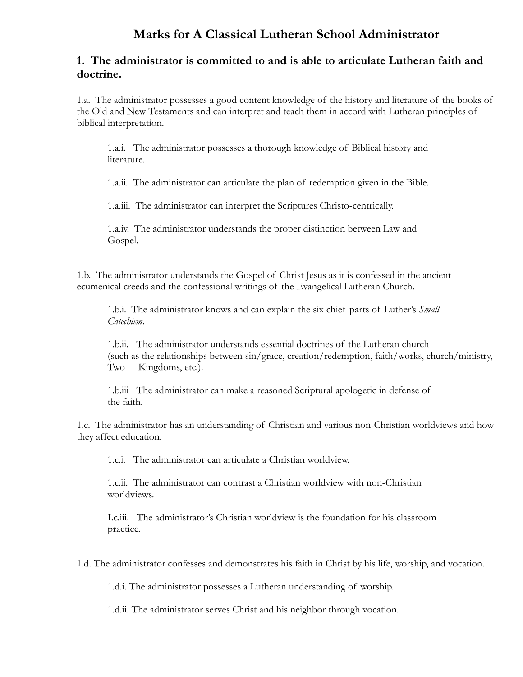# **Marks for A Classical Lutheran School Administrator**

#### **1. The administrator is committed to and is able to articulate Lutheran faith and doctrine.**

1.a. The administrator possesses a good content knowledge of the history and literature of the books of the Old and New Testaments and can interpret and teach them in accord with Lutheran principles of biblical interpretation.

1.a.i. The administrator possesses a thorough knowledge of Biblical history and literature.

1.a.ii. The administrator can articulate the plan of redemption given in the Bible.

1.a.iii. The administrator can interpret the Scriptures Christo-centrically.

1.a.iv. The administrator understands the proper distinction between Law and Gospel.

1.b. The administrator understands the Gospel of Christ Jesus as it is confessed in the ancient ecumenical creeds and the confessional writings of the Evangelical Lutheran Church.

1.b.i. The administrator knows and can explain the six chief parts of Luther's *Small Catechism*.

1.b.ii. The administrator understands essential doctrines of the Lutheran church (such as the relationships between sin/grace, creation/redemption, faith/works, church/ministry, Two Kingdoms, etc.).

1.b.iii The administrator can make a reasoned Scriptural apologetic in defense of the faith.

1.c. The administrator has an understanding of Christian and various non-Christian worldviews and how they affect education.

1.c.i. The administrator can articulate a Christian worldview.

1.c.ii. The administrator can contrast a Christian worldview with non-Christian worldviews.

I.c.iii. The administrator's Christian worldview is the foundation for his classroom practice.

1.d. The administrator confesses and demonstrates his faith in Christ by his life, worship, and vocation.

1.d.i. The administrator possesses a Lutheran understanding of worship.

1.d.ii. The administrator serves Christ and his neighbor through vocation.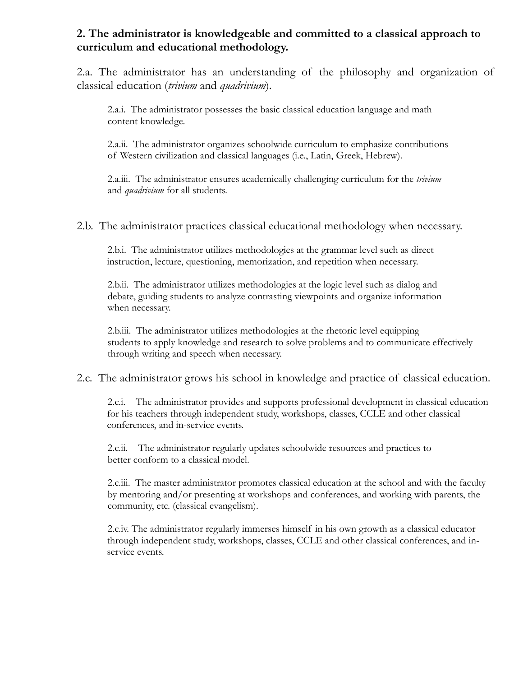## **2. The administrator is knowledgeable and committed to a classical approach to curriculum and educational methodology.**

2.a. The administrator has an understanding of the philosophy and organization of classical education (*trivium* and *quadrivium*).

2.a.i. The administrator possesses the basic classical education language and math content knowledge.

2.a.ii. The administrator organizes schoolwide curriculum to emphasize contributions of Western civilization and classical languages (i.e., Latin, Greek, Hebrew).

2.a.iii. The administrator ensures academically challenging curriculum for the *trivium* and *quadrivium* for all students.

2.b. The administrator practices classical educational methodology when necessary.

2.b.i. The administrator utilizes methodologies at the grammar level such as direct instruction, lecture, questioning, memorization, and repetition when necessary.

2.b.ii. The administrator utilizes methodologies at the logic level such as dialog and debate, guiding students to analyze contrasting viewpoints and organize information when necessary.

2.b.iii. The administrator utilizes methodologies at the rhetoric level equipping students to apply knowledge and research to solve problems and to communicate effectively through writing and speech when necessary.

#### 2.c. The administrator grows his school in knowledge and practice of classical education.

2.c.i. The administrator provides and supports professional development in classical education for his teachers through independent study, workshops, classes, CCLE and other classical conferences, and in-service events.

2.c.ii. The administrator regularly updates schoolwide resources and practices to better conform to a classical model.

2.c.iii. The master administrator promotes classical education at the school and with the faculty by mentoring and/or presenting at workshops and conferences, and working with parents, the community, etc. (classical evangelism).

2.c.iv. The administrator regularly immerses himself in his own growth as a classical educator through independent study, workshops, classes, CCLE and other classical conferences, and inservice events.